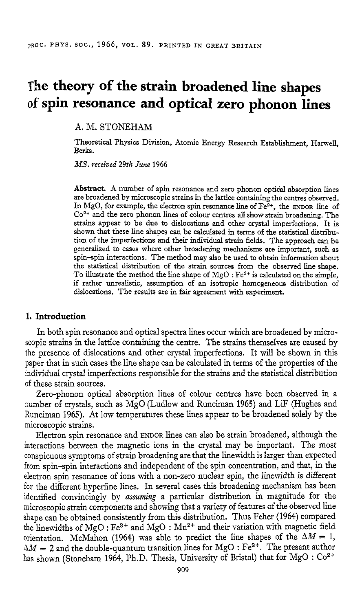# **The theory of the strain broadened line shapes of spin resonance and optical zero phonon lines**

**A.** M. STONEHAM

Theoretical Physics Division, Atomic Energy Research Establishment, Harwell, Berks.

*MS. received* 29th *June* 1966

**Abstract.** A number of spin resonance and zero phonon optical absorption lines are broadened by microscopic strains in the lattice containing the centres observed. In MgO, for example, the electron spin resonance line of Fe2+, the **ENDOR** line of **Co2+** and the zero phonon lines of colour centres **all** show strain broadening. The strains appear to be due to dislocations and other *crystal* imperfections. It is shown that these line shapes *can* be calculated in terms of the statistical distribution of the imperfections and their individual strain fieIds. The approach *can* be generalized to cases where other broadening mechanisms are important, such **as**  spin-spin interactions. The method may also be used to obtain information about the statistical distribution of the strain sources from the observed line shape. To illustrate the method the line shape of  $MgO : Fe<sup>2+</sup>$  is calculated on the simple, if rather unrealistic, assumption of **an** isotropic homogeneous distribution of dislocations. The results are in fair agreement with experiment.

# **1. Introduction**

In both spin resonance and optical spectra lines occur which are broadened by microscopic strains in the lattice containing the centre. The strains themselves are caused by the presence of dislocations and other crystal imperfections. It **will** be shown in this paper that in such cases the line shape can be calculated in terms of the properties of the individual crystal imperfections responsible €or the strains and the statistical distribution of these strain sources.

Zero-phonon optical absorption lines of colour centres have been observed in a number of crystals, such as MgO (Ludlow and Runciman 1965) and LiF (Hughes and Runciman 1965). At low temperatures these lines appear to be broadened solely by the microscopic strains.

Electron spin resonance and ENDOR lines can also be strain broadened, although the interactions between the magnetic ions in the crystal may be important. The most conspicuous symptoms of strain broadening are that the linewidth is larger than expected from spin-spin interactions and independent of the spin concentration, and that, in the electron spin resonance of ions with a non-zero nuclear spin, the linewidth is ditferent for the different hyperfine lines. In several cases this broadening mechanism has been identified convincingly by *assuming* a particular distribution in magnitude for the microscopic strain components and showing that a variety of features of the observed line shape can be obtained consistently from this distribution. Thus Feher (1964) compared the linewidths of MgO :  $Fe^{3+}$  and MgO :  $Mn^{2+}$  and their variation with magnetic field orientation. McMahon (1964) was able to predict the line shapes of the  $\Delta M = 1$ ,  $\Delta M = 2$  and the double-quantum transition lines for MgO : Fe<sup>2+</sup>. The present author has shown (Stoneham 1964, Ph.D. Thesis, University of Bristol) that for MgO : *CO'+*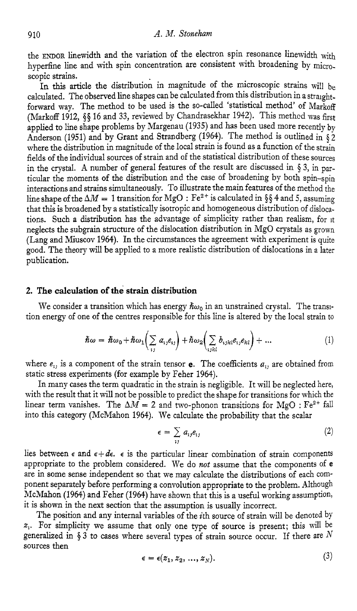the ENDOR linewidth and the variation of the electron spin resonance linewidth with hyperfine line and with spin concentration are consistent with broadening by microscopic strains.

In this article the distribution in magnitude of the microscopic strains will be calculated. The observed line shapes can be calculated from this distribution in a straightforward way. The method to be used is the so-called 'statistical method' of Markoff (Markoff 1912, **\$5** 16 and 33, reviewed by Chandrasekhar 1942). This methcd was first applied to line shape problems by Margenau (1935) and has been used more recently by Anderson (1951) and by Grant and Strandberg (1964). The method is outlined in  $\delta$  2 where the distribution in magnitude of the local strain is found as a function of the strain fields of the individual sources of strain and of the statistical distribution of these sources in the crystal. **A** number of general features of the result are discussed in **3,** in particular the moments of the distribution and the case of broadening by both spin-spin interactions and strains simultaneously. TO illustrate the main features of the method the line shape of the  $\Delta M = 1$  transition for MgO : Fe<sup>2+</sup> is calculated in §§4 and 5, assuming that this is broadened by a statistically isotropic and homogeneous distribution of dislocations. Such a distribution has the advantage of simplicity rather than realism, for it neglects the subgrain structure of the dislocation distribution in MgO crystals as grown (Lang and Miuscov 1964). In the circumstances the agreement with experiment is quite good. The theory will be applied to a more realistic distribution of dislocations in a later publication.

# **2. The calculation of the strain distribution**

We consider a transition which has energy  $\hbar\omega_0$  in an unstrained crystal. The transition energy of one of the centres responsible for this line is altered by the local strain to

$$
\hbar\omega = \hbar\omega_0 + \hbar\omega_1 \left(\sum_{ij} a_{ij}e_{ij}\right) + \hbar\omega_2 \left(\sum_{ijkl} b_{ijkl}e_{ij}e_{kl}\right) + \dots \tag{1}
$$

where  $e_{i}$ , is a component of the strain tensor **e**. The coefficients  $a_{i}$ , are obtained from static stress experiments (for example by Feher 1964).

In many cases the term quadratic in the strain is negligible. It will be neglected here, with the result that it will not be possible to predict the shape for transitions for which the while the result that it will not be possible to predict the shape for transitions for Windi the linear term vanishes. The  $\Delta M = 2$  and two-phonon transitions for MgO :  $Fe^{2+}$  fall into this category (McMahon 1964). We calculate the probability that the scalar

$$
\epsilon = \sum_{ij} a_{ij} e_{ij} \tag{2}
$$

lies between  $\epsilon$  and  $\epsilon + d\epsilon$ .  $\epsilon$  is the particular linear combination of strain components appropriate to the problem considered. We do *not* assume that the components of **e**  are in some sense independent so that we may calculate the distributions of each component separately before performing a convolution appropriate to the problem. Although McMahon (1964) and Feher (1964) have shown that this is a useful working assumption, it is shown in the next section that the assumption is usually incorrect.

The position and any internal variables of the *i*th source of strain will be denoted by *2,.* For simplicity we assume that only one type of source is present; this will be generalized in  $\S 3$  to cases where several types of strain source occur. If there are  $N$ sources then

$$
\epsilon = \epsilon(z_1, z_2, \ldots, z_N). \tag{3}
$$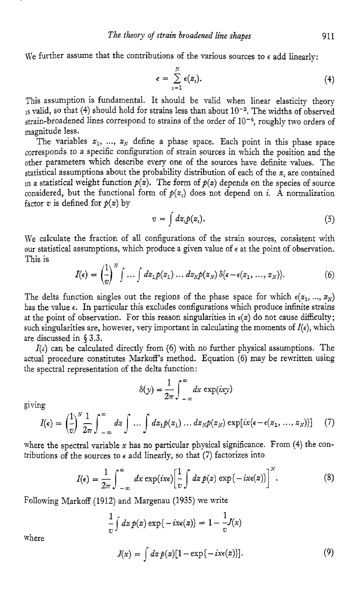We further assume that the contributions of the various sources to  $\epsilon$  add linearly:

$$
\epsilon = \sum_{i=1}^N \epsilon(z_i). \tag{4}
$$

This assumption is fundamental. It should be valid when linear elasticity theory 15 valid, so that (4) should hold for strains less than about 10<sup>-2</sup>. The widths of observed strain-broadened lines correspond to strains of the order of  $10^{-4}$ , roughly two orders of magnitude less.

The variables  $z_1$ , ...,  $z_N$  define a phase space. Each point in this phase space corresponds to a specific configuration of strain sources in which the position and the other parameters which describe every one of the sources have definite values. The statistical assumptions about the probability distribution of each of the *z,* are contained in a statistical weight function  $p(z)$ . The form of  $p(z)$  depends on the species of source considered, but the functional form of  $p(z_i)$  does not depend on *i*. A normalization factor  $v$  is defined for  $p(z)$  by

$$
v = \int dz_i p(z_i). \tag{5}
$$

We calculate the fraction of all configurations of the strain sources, consistent with our statistical assumptions, which produce a given value of  $\epsilon$  at the point of observation. This is

$$
I(\epsilon) = \left(\frac{1}{v}\right)^N \int \dots \int dz_1 p(z_1) \dots dz_N p(z_N) \, \delta\{\epsilon - \epsilon(z_1, \dots, z_N)\}.
$$
 (6)

The delta function singles out the regions of the phase space for which  $\epsilon(z_1, ..., z_N)$ has the value  $\epsilon$ . In particular this excludes configurations which produce infinite strains at the point of observation. For this reason singularities in  $\epsilon(z)$  do not cause difficulty; such singularities are, however, very important in calculating the moments of  $I(\epsilon)$ , which are discussed in **4 3.3.** 

 $I(\epsilon)$  can be calculated directly from (6) with no further physical assumptions. The actual procedure constitutes Markoff's method. Equation (6) may be rewritten using the spectral representation of the delta function:

$$
\delta(y) = \frac{1}{2\pi} \int_{-\infty}^{\infty} dx \, \exp(ixy)
$$

giving

$$
\delta(y) = \frac{1}{2\pi} \int_{-\infty}^{\infty} dx \exp(ixy)
$$
  

$$
I(\epsilon) = \left(\frac{1}{v}\right)^N \frac{1}{2\pi} \int_{-\infty}^{\infty} dz \int \dots \int dz_1 p(z_1) \dots dz_N p(z_N) \exp(ix(\epsilon - \epsilon(z_1, ..., z_N))]
$$
 (7)

where the spectral variable **x** has no particular physical significance. From **(4)** the contributions of the sources to  $\epsilon$  add linearly, so that (7) factorizes into

$$
I(\epsilon) = \frac{1}{2\pi} \int_{-\infty}^{\infty} dx \exp(ix\epsilon) \left[\frac{1}{v} \int dz \, p(z) \exp\{-ix\epsilon(z)\}\right]^N.
$$
 (8)

Following Markoff (1912) and Margenau (1935) we write

$$
\frac{1}{v}\int dz\,p(z)\exp\{-ix\epsilon(z)\}=1-\frac{1}{v}J(x)
$$

where

$$
J(x) = \int dz \, p(z) [1 - \exp\{-ix\epsilon(z)\}]. \tag{9}
$$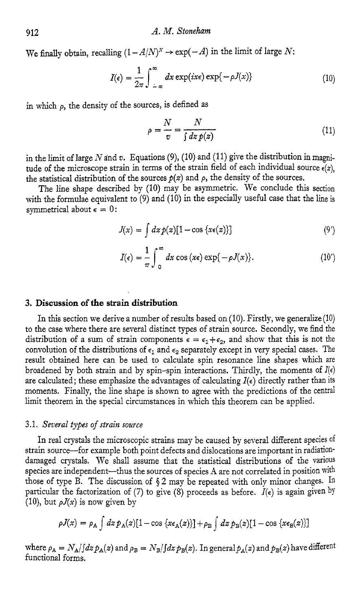We finally obtain, recalling  $(1 - A/N)^N \rightarrow \exp(-A)$  in the limit of large N:

$$
I(\epsilon) = \frac{1}{2\pi} \int_{-\infty}^{\infty} dx \exp(ix\epsilon) \exp\{-\rho J(x)\}
$$
(10)

in which *p,* the density of the sources, is defined as

$$
\rho = \frac{N}{v} = \frac{N}{\int dz \, p(z)}\tag{11}
$$

in the limit of large  $N$  and  $v$ . Equations (9), (10) and (11) give the distribution in magnitude of the microscope strain in terms of the strain field of each individual source  $\epsilon(z)$ , the statistical distribution of the sources  $p(z)$  and  $\rho$ , the density of the sources.

The line shape described by (10) may be asymmetric. We conclude this section with the formulae equivalent to (9) and (10) in the especially useful case that the line is symmetrical about  $\epsilon = 0$ :

$$
J(x) = \int dz p(z)[1 - \cos \{x \epsilon(z)\}] \tag{9'}
$$

$$
I(\epsilon) = \frac{1}{\pi} \int_{0}^{\infty} dx \cos(x\epsilon) \exp\{-\rho J(x)\}.
$$
 (10')

# **3. Discussion of the strain distribution**

In this section we derive a number of results based on  $(10)$ . Firstly, we generalize  $(10)$ to the case where there are several distinct types of strain source. Secondly, we find the distribution of a sum of strain components  $\epsilon = \epsilon_1 + \epsilon_2$ , and show that this is not the convolution of the distributions of  $\epsilon_1$  and  $\epsilon_2$  separately except in very special cases. The result obtained here can be used to calculate spin resonance line shapes which are broadened by both strain and by spin-spin interactions. Thirdly, the moments of *I(€)*  are calculated; these emphasize the advantages of calculating  $I(\epsilon)$  directly rather than its moments. Finally, the line shape is shown to agree with the predictions of the central limit theorem in the special circumstances in which this theorem can be applied.

#### 3.1. *Seaeral* types *of strain source*

In real crystals the microscopic strains may be caused by several different species of strain source-for example both point defects and dislocations are important in radiationdamaged crystals. We shall assume that the statistical distributions of the various species are independent-thus the sources of species A are not correlated in position with those of type B. The discussion of **4** 2 may be repeated with only minor changes. In particular the factorization of (7) to give (8) proceeds as before.  $I(\epsilon)$  is again given by (10), but  $\rho J(x)$  is now given by

$$
\rho J(x) = \rho_A \int dz \, \rho_A(z) [1 - \cos \{x \epsilon_A(z)\}] + \rho_B \int dz \, \rho_B(z) [1 - \cos \{x \epsilon_B(z)\}]
$$

where  $\rho_A = N_A/f dz p_A(z)$  and  $\rho_B = N_B/f dz p_B(z)$ . In general  $p_A(z)$  and  $p_B(z)$  have different functional forms.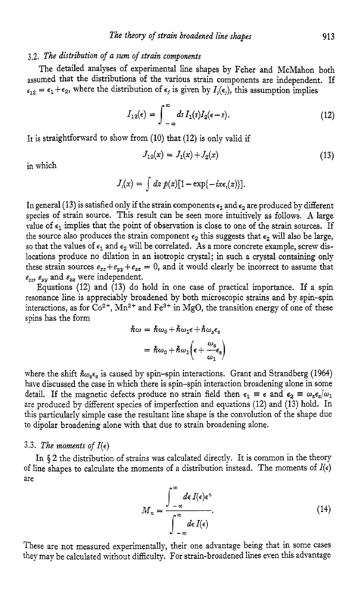## **3.2.** *The distribution of a sum of strain components*

The detailed analyses of experimental line shapes by Feher and McMahon both assumed that the distributions of the various strain components are independent. If  $\epsilon_{12} = \epsilon_1 + \epsilon_2$ , where the distribution of  $\epsilon_j$  is given by  $I_j(\epsilon_j)$ , this assumption implies

$$
I_{12}(\epsilon) = \int_{-\infty}^{\infty} ds \, I_1(s) I_2(\epsilon - s). \tag{12}
$$

It is straightforward to show from (10) that (12) is only valid if

$$
J_{12}(x) = J_1(x) + J_2(x) \tag{13}
$$

in which

$$
J_i(x) = \int dz \, p(z) [1 - \exp\{-ix\epsilon_i(z)\}].
$$

In general (13) is satisfied only if the strain components  $\epsilon_1$  and  $\epsilon_2$  are produced by different species of strain source. This result can be seen more intuitively as follows. **A** large value of  $\epsilon_1$  implies that the point of observation is close to one of the strain sources. If the source also produces the strain component  $\epsilon_2$  this suggests that  $\epsilon_2$  will also be large, so that the values of  $\epsilon_1$  and  $\epsilon_2$  will be correlated. As a more concrete example, screw dislocations produce no dilation in an isotropic crystal; in such a crystal containing only these strain sources  $e_{xx} + e_{yy} + e_{zz} = 0$ , and it would clearly be incorrect to assume that  $e_{xx}$ ,  $e_{yy}$  and  $e_{zz}$  were independent.

Equations **(12)** and (13) do hold in one case of practical importance. If a spin resonance line is appreciably broadened by both microscopic strains and by spin-spin interactions, as for  $CO^{2+}$ , Mn<sup>2+</sup> and Fe<sup>3+</sup> in MgO, the transition energy of one of these spins has the form

$$
\begin{aligned} \hbar\omega &= \hbar\omega_0 + \hbar\omega_1\epsilon + \hbar\omega_s\epsilon_s \\ &= \hbar\omega_0 + \hbar\omega_1\left(\epsilon + \frac{\omega_s}{\omega_1}\epsilon_s\right) \end{aligned}
$$

where the shift  $\hbar\omega_{s}\epsilon_{s}$  is caused by spin-spin interactions. Grant and Strandberg (1964) have discussed the case in which there is spin-spin interaction broadening alone in some detail. If the magnetic defects produce no strain field then  $\epsilon_1 \equiv \epsilon$  and  $\epsilon_2 \equiv \omega_s \epsilon_s/\omega_1$ are produced by different species of imperfection and equations (12) and (13) hold. In this particularly simple case the resultant line shape is the convolution of the shape due to dipolar broadening alone with that due to strain broadening alone.

#### 3.3. The moments of  $I(\epsilon)$

In **\$2** the distribution of strains was calculated directly. It is common in the theory *of line shapes to calculate the moments of a distribution instead. The moments of*  $I(\epsilon)$ are

$$
M_n = \frac{\int_{-\infty}^{\infty} d\epsilon \, I(\epsilon) \epsilon^n}{\int_{-\infty}^{\infty} d\epsilon \, I(\epsilon)}.
$$
 (14)

These are not measured experimentally, their one advantage being that in some cases they may be calculated without difficulty. For strain-broadened lines even this advantage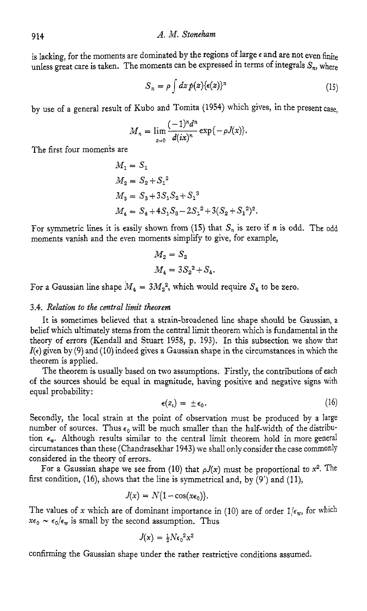is lacking, for the moments are dominated by the regions of large  $\epsilon$  and are not even finite unless great care is taken. The moments can be expressed in terms of integrals  $S_n$ , where

$$
S_n = \rho \int dz \, p(z) \{ \epsilon(z) \}^n \tag{15}
$$

by use of a general result of Kubo and Tomita (1954) which gives, in the present case,

$$
M_n=\lim_{x\to 0}\frac{(-1)^n d^n}{d(ix)^n}\exp\{-\rho J(x)\}.
$$

The first four moments are

$$
M_1 = S_1
$$
  
\n
$$
M_2 = S_2 + S_1^2
$$
  
\n
$$
M_3 = S_3 + 3S_1S_2 + S_1^3
$$
  
\n
$$
M_4 = S_4 + 4S_1S_3 - 2S_1^2 + 3(S_2 + S_1^2)^2.
$$

For symmetric lines it is easily shown from (15) that  $S_n$  is zero if *n* is odd. The odd moments vanish and the even moments simplify to give, for example,

$$
M_2 = S_2
$$
  

$$
M_4 = 3S_2^2 + S_4.
$$

For a Gaussian line shape  $M_4 = 3M_2^2$ , which would require  $S_4$  to be zero.

#### **3.4.** *Relation to the central limit theorem*

It is sometimes believed that a strain-broadened line shape should be Gaussian, a belief which ultimately stems from the central limit theorem which is fundamental in the theory of errors (Kendall and Stuart 1958, p. **193).** In this subsection we show that *I*( $\epsilon$ ) given by (9) and (10) indeed gives a Gaussian shape in the circumstances in which the theorem is applied.

The theorem is usually based on two assumptions. Firstly, the contributions of each of the sources should be equal in magnitude, having positive and negative signs with equal probability:

$$
\epsilon(z_i) = \pm \epsilon_0. \tag{16}
$$

Secondly, the local strain at the point of observation must be produced by a large number of sources. Thus  $\epsilon_0$  will be much smaller than the half-width of the distribution  $\epsilon_{w}$ . Although results similar to the central limit theorem hold in more general circumstances than these (Chandrasekhar 1943) we shall only consider the case commonly considered in the theory of errors.

For a Gaussian shape we see from (10) that  $\rho J(x)$  must be proportional to  $x^2$ . The first condition, (16), shows that the line is symmetrical and, by **(9')** and (ll),

$$
J(x) = N\{1 - \cos(x\epsilon_0)\}.
$$

The values of x which are of dominant importance in (10) are of order  $1/\epsilon_{\rm w}$ , for which  $x\epsilon_0 \sim \epsilon_0/\epsilon_{\rm w}$  is small by the second assumption. Thus

$$
J(x) = \frac{1}{2}N\epsilon_0^2x^2
$$

confirming the Gaussian shape under the rather restrictive conditions assumed.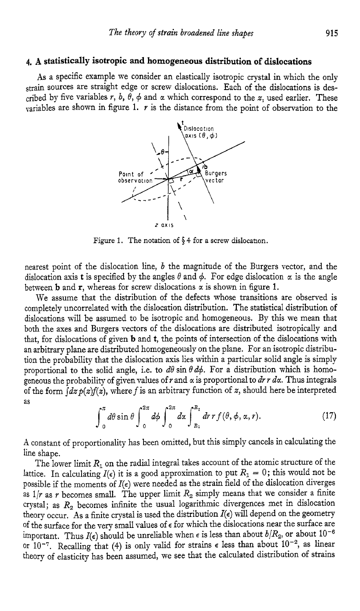# **4. A statistically isotropic and homogeneous distribution of dislocations**

As a specific example we consider an elastically isotropic crystal in which the only strain sources are straight edge or screw dislocations. Each of the dislocations is described by five variables  $r$ ,  $b$ ,  $\theta$ ,  $\phi$  and  $\alpha$  which correspond to the  $z$ , used earlier. These variables are shown in figure 1.  $r$  is the distance from the point of observation to the



Figure 1. The notation of  $\S 4$  for a screw dislocation.

nearest point of the dislocation line, *b* the magnitude of the Burgers vector, and the dislocation axis **t** is specified by the angles  $\theta$  and  $\phi$ . For edge dislocation  $\alpha$  is the angle between **b** and **r**, whereas for screw dislocations  $\alpha$  is shown in figure 1.

We assume that the distribution of the defects whose transitions are observed is completely uncorrelated with the dislocation distribution. The statistical distribution of dislocations will be assumed to be isotropic and homogeneous. By this we mean that both the axes and Burgers vectors of the dislocations are distributed isotropically and that, for dislocations of given **b** and **t,** the points of intersection of the dislocations with an arbitrary plane are distributed homogeneously on the plane. For an isotropic distribution the probability that the dislocation axis lies within a particular solid angle is simply proportional to the solid angle, i.e. to  $d\theta$  sin  $\theta d\phi$ . For a distribution which is homogeneous the probability of given values of  $r$  and  $\alpha$  is proportional to  $dr$   $r$   $dx$ . Thus integrals of the form  $\int ds p(x)f(x)$ , where f is an arbitrary function of *z*, should here be interpreted as

$$
\int_0^{\pi} d\theta \sin \theta \int_0^{2\pi} d\phi \int_0^{2\pi} dx \int_{R_1}^{R_2} dr \, r f(\theta, \phi, \alpha, r). \tag{17}
$$

**A** constant of proportionality has been omitted, but this simply cancels in calculating the line shape.

The lower limit *R,* on the radial integral takes account of the atomic structure of the lattice. In calculating  $I(\epsilon)$  it is a good approximation to put  $R_1 = 0$ ; this would not be possible if the moments of  $I(\epsilon)$  were needed as the strain field of the dislocation diverges as  $1/r$  as *r* becomes small. The upper limit  $R_2$  simply means that we consider a finite crystal; as *R,* becomes infinite the usual logarithmic divergences met in dislocation theory occur. As a finite crystal is used the distribution *I(€)* will depend on the geometry of the surface for the very small values of *E* for which the dislocations near the surface are important. Thus  $I(\epsilon)$  should be unreliable when  $\epsilon$  is less than about  $b/R_2$ , or about  $10^{-6}$ or 10<sup>-7</sup>. Recalling that (4) is only valid for strains  $\epsilon$  less than about 10<sup>-2</sup>, as linear theory of elasticity has been assumed, we see that the calculated distribution of strains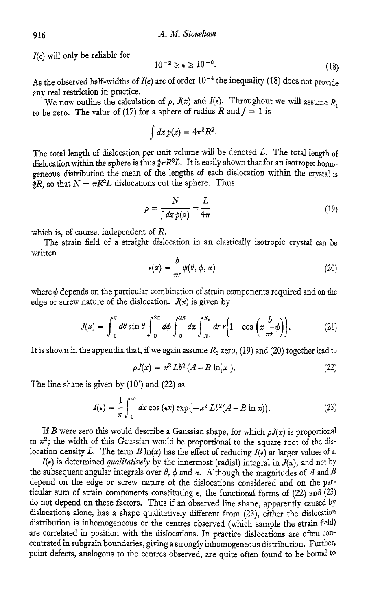*I*( $\epsilon$ ) will only be reliable for

$$
10^{-2} \gtrsim \epsilon \gtrsim 10^{-6}.\tag{18}
$$

As the observed half-widths of  $I(\epsilon)$  are of order  $10^{-4}$  the inequality (18) does not provide any real restriction in practice.

We now outline the calculation of  $\rho$ ,  $J(x)$  and  $I(\epsilon)$ . Throughout we will assume *R*, to be zero. The value of (17) for a sphere of radius  $R$  and  $f = 1$  is

$$
\int dz\,p(z)=4\pi^2R^2.
$$

The total length of dislocation per unit volume will be denoted  $L$ . The total length of dislocation within the sphere is thus  $\frac{4}{3}\pi R^3L$ . It is easily shown that for an isotropic homogeneous distribution the mean of the lengths of each dislocation within the crystal is  $\frac{3}{4}R$ , so that  $N = \pi R^2 L$  dislocations cut the sphere. Thus

$$
\rho = \frac{N}{\int dz \, p(z)} = \frac{L}{4\pi} \tag{19}
$$

which is, of course, independent of *R.* 

written The strain field of a straight dislocation in an elastically isotropic crystal can be

$$
\epsilon(z) = \frac{b}{\pi r} \psi(\theta, \phi, \alpha) \tag{20}
$$

where  $\psi$  depends on the particular combination of strain components required and on the edge or screw nature of the dislocation.  $J(x)$  is given by

$$
J(x) = \int_0^{\pi} d\theta \sin \theta \int_0^{2\pi} d\phi \int_0^{2\pi} dx \int_{R_1}^{R_2} dr r \left\{ 1 - \cos \left( x \frac{b}{\pi r} \psi \right) \right\}.
$$
 (21)

It is shown in the appendix that, if we again assume *RI* zero, (19) and (20) together lead to

$$
\rho J(x) = x^2 Lb^2 (A - B \ln|x|). \tag{22}
$$

The line shape is given by (10') and *(22)* as

$$
I(\epsilon) = \frac{1}{\pi} \int_0^\infty dx \cos(\epsilon x) \exp\{-x^2 Lb^2(A - B \ln x)\}.
$$
 (23)

If *B* were zero this would describe a Gaussian shape, for which  $\rho J(x)$  is proportional to **x2;** the width of this Gaussian would be proportional to the square root of the dislocation density L. The term  $B \ln(x)$  has the effect of reducing  $I(\epsilon)$  at larger values of  $\epsilon$ .

 $I(\epsilon)$  is determined *qualitatively* by the innermost (radial) integral in  $J(x)$ , and not by the subsequent angular integrals over  $\theta$ ,  $\phi$  and  $\alpha$ . Although the magnitudes of *A* and *B* depend on the edge or screw nature of the dislocations considered and on the particular sum of strain components constituting  $\epsilon$ , the functional forms of (22) and (23) do not depend on these factors. Thus if an observed line shape, apparently caused by dislocations alone, has a shape qualitatively different from **(23),** either the dislocation distribution is inhomogeneous or the centres observed (which sample the strain field) are correlated in position with the dislocations. In practice dislocations are often concentrated in subgrain boundaries, giving a strongly inhomogeneous distribution. Further, point defects, analogous to the centres observed, are quite often found to be bound to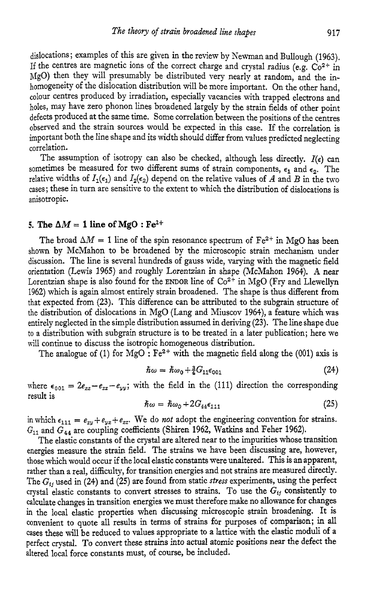dislocations; examples of this are given in the review by Newman and Bullough **(1963).**  If the centres are magnetic ions of the correct charge and crystal radius (e.g.  $Co^{2+}$  in MgO) then they will presumably be distributed very nearly at random, and the inhomogeneity of the dislocation distribution will be more important. On the other hand, colour centres produced by irradiation, especially vacancies with trapped electrons and holes, may have zero phonon lines broadened largely by the strain fields of other point defects produced at the same time. Some correlation between the positions of the centres observed and the strain sources would be expected in this case. If the correlation is important both the line shape and its width should differ from values predicted neglecting correlation.

The assumption of isotropy can also be checked, although less directly.  $I(\epsilon)$  can sometimes be measured for two different sums of strain components,  $\epsilon_1$  and  $\epsilon_2$ . The relative widths of  $I_1(\epsilon_1)$  and  $I_2(\epsilon_2)$  depend on the relative values of *A* and *B* in the two cases; these in turn are sensitive to the extent to which the distribution of dislocations is anisotropic.

#### 5. The  $\Delta M = 1$  line of MgO :  $Fe^{2+}$

The broad  $\Delta M = 1$  line of the spin resonance spectrum of  $Fe^{2+}$  in MgO has been shown by McMahon to be broadened by the microscopic strain mechanism under discussion. The line is several hundreds of gauss wide, varying with the magnetic field orientation (Lewis **1965)** and roughly Lorentzian in shape (McMahon **1964). A** near Lorentzian shape is also found for the **ENDOR** line of **Co2'** in MgO (Fry and Llewellyn **1962)** which is again almost entirely strain broadened. The shape is thus different from that expected from **(23).** This difference can be attributed to the subgrain structure of the distribution of dislocations in MgO (Lang and Miuscov **1964),** a feature which was entirely neglected in the simple distribution assumed in deriving **(23).** The line shape due to a distribution with subgrain structure is to be treated in a later publication; here we will continue to discuss the isotropic homogeneous distribution.

The analogue of (1) for  $MgO : Fe^{2+}$  with the magnetic field along the (001) axis is

$$
\hbar\omega = \hbar\omega_0 + \frac{3}{4}G_{11}\epsilon_{001} \tag{24}
$$

where  $\epsilon_{001} = 2e_{zz} - e_{xx} - e_{yy}$ ; with the field in the (111) direction the corresponding result is

$$
\hbar\omega = \hbar\omega_0 + 2G_{44}\epsilon_{111} \tag{25}
$$

in which  $\epsilon_{111} = e_{xy} + e_{yz} + e_{zz}$ . We do *not* adopt the engineering convention for strains. Gll and **G44** are coupling coefficients (Shiren **1962,** Watkins and Feher **1962).** 

The elastic constants of the crystal are altered near to the impurities whose transition energies measure the strain field. The strains we have been discussing are, however, those which would occur if the local elastic constants were unaltered. This is an apparent, rather than a real, difficulty, for transition energies and not strains are measured directly. The  $G_{ij}$  used in (24) and (25) are found from static *stress* experiments, using the perfect crystal elastic constants to convert stresses to strains. To use the  $G_{ij}$  consistently to calculate changes in transition energies we must therefore make no allowance for changes in the local elastic properties when discussing microscopic strain broadening. It is convenient to quote all results in terms of strains for purposes of comparison; in all cases these will be reduced to values appropriate to a lattice with the elastic moduli of a perfect crystal. To convert these strains *into* actual atomic positions near the defect the altered local force constants must, of course, be included.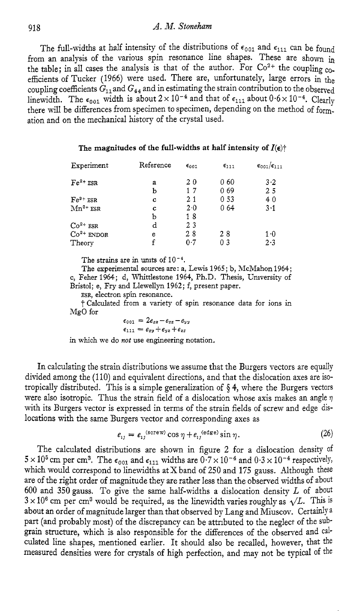# <sup>918</sup>*A. 1V. Stoneham*

The full-widths at half intensity of the distributions of  $\epsilon_{001}$  and  $\epsilon_{111}$  can be found from an analysis of the various spin resonance line shapes. These are shown in the table; in all cases the analysis is that of the author. For  $Co^{2+}$  the coupling  $co^{-}$ efficients of Tucker (1966) were used. There are, unfortunately, large errors in the coupling coefficients  $G_{11}$  and  $G_{44}$  and in estimating the strain contribution to the observed linewidth. The  $\epsilon_{001}$  width is about  $2 \times 10^{-4}$  and that of  $\epsilon_{111}$  about  $0.6 \times 10^{-4}$ . Clearly there will be differences from specimen to specimen, depending on the method of formation and on the mechanical history of the crystal used.

#### The magnitudes of the full-widths at half intensity of  $I(\epsilon)$ <sup>+</sup>

| Experiment    | Reference | $\epsilon_{001}$ | $\epsilon_{111}$ | $\epsilon_{001}/\epsilon_{111}$ |
|---------------|-----------|------------------|------------------|---------------------------------|
| $Fe^{2+}ESR$  | a         | 20               | 060              | $3-2$                           |
|               | ь         | 17               | 069              | 25                              |
| $Fe3+ ESR$    | C         | 21               | 0 53             | 40                              |
| $Mn^{2+}$ ESR | c         | 2.0              | 064              | $3 \cdot 1$                     |
|               | Ь         | 18               |                  |                                 |
| $Co2+$ ESR    | d         | 23               |                  |                                 |
| $Co2+$ ENDOR  | е         | 28               | 28               | $1-0$                           |
| Theory        |           | 0.7              | 0 <sub>3</sub>   | 2.3                             |

The strains are in units of  $10^{-4}$ .

The experimental sources are: a, Lewis 1965; b, McMahon 1964; **c,** Feher 1964; d, Whittlestone 1964, Ph.D. Thesis, University of Bristol; e, Fry **and** Llewellyn 1962; f, present paper.

**ESR,** electron **spin** resonance.

-f Calculated from a variety of spin resonance data for ions in MgO for

$$
\epsilon_{001} = 2e_{zz} - e_{zz} - e_{yy}
$$
  

$$
\epsilon_{111} = e_{xy} + e_{yz} + e_{zz}
$$

in which we do *not* use engineering notation.

In calculating the strain distributions we assume that the Burgers vectors are equally divided among the (110) and equivalent directions, and that the dislocation axes are isotropically distributed. This is a simple generalization of **\$4,** where the Burgers vectors were also isotropic. Thus the strain field of a dislocation whose axis makes an angle **7**  with its Burgers vector is expressed in terms of the strain fields of screw and edge dislocations with the same Burgers vector and corresponding axes as

$$
e_{ij} = e_{ij}^{\text{(score)}} \cos \eta + e_{ij}^{\text{(edge)}} \sin \eta. \tag{26}
$$

The calculated distributions are shown in figure 2 for a dislocation density of  $5 \times 10^5$  cm per cm<sup>3</sup>. The  $\epsilon_{001}$  and  $\epsilon_{111}$  widths are  $0.7 \times 10^{-4}$  and  $0.3 \times 10^{-4}$  respectively, which would correspond to linewidths at X band of 250 and **175** gauss. Although these are of the right order of magnitude they are rather less than the observed widths of about 600 and 350gauss. To give the same half-widths a dislocation density *L* of about  $3 \times 10^6$  cm per cm<sup>3</sup> would be required, as the linewidth varies roughly as  $\sqrt{L}$ . This is about an order of magnitude larger than that observed by Lang and Miuscov. Certainly <sup>a</sup> part (and probably most) of the discrepancy can be attributed to the neglect of the subgrain structure, which is also responsible for the differences of the observed and calculated line shapes, mentioned earlier. It should also be recalled, however, that the measured densities were for crystals of high perfection, and may not be typical of the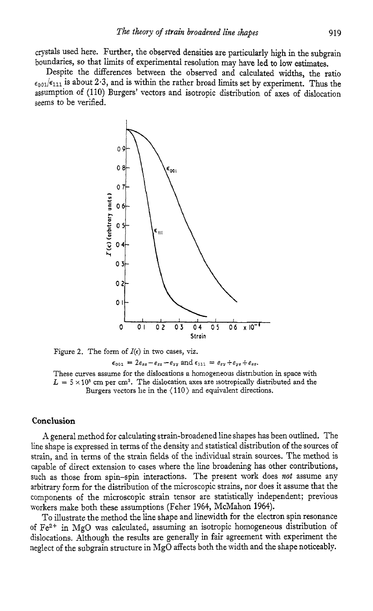crystals used here. Further, the observed densities are particularly high in the subgrain boundaries, so that limits of experimental resolution may have led to low estimates.

Despite the differences between the observed and calculated widths, the ratio  $\epsilon_{0.01}/\epsilon_{111}$  is about 2.3, and is within the rather broad limits set by experiment. Thus the assumption of (110) Burgers' vectors and isotropic distribution of axes of dislocation seems to be verified.



Figure 2. The form of  $I(\epsilon)$  in two cases, viz.

```
\epsilon_{001} = 2e_{zz} - e_{zz} - e_{yy} and \epsilon_{111} = e_{xy} + e_{yz} + e_{zz}.
```
These curves assume for the dislocations a homogeneous distribution in space with  $L = 5 \times 10^5$  cm per cm<sup>3</sup>. The dislocation axes are isotropically distributed and the Burgers vectors lie **in** the ( 110) and equivalent directions.

# **Conclusion**

**A** general method for calculating strain-broadened line shapes has been outlined. The line shape is expressed in terms of the density and statistical distribution of the sources of strain, and in terms of the strain fields of the individual strain sources. The method is capable of direct extension to cases where the line broadening has other contributions, such as those from spin-spin interactions. The present work does *not* assume any arbitrary form for the distribution of the microscopic strains, nor does it assume that the components of the microscopic strain tensor are statistically independent; previous workers make both these assumptions (Feher 1964, McMahon 1964).

To illustrate the method the line shape and linewidth for the electron spin resonance of Fe2+ in MgO was calculated, assuming an isotropic homogeneous distribution of dislocations. Although the results are generally in fair agreement with experiment the neglect of the subgrain structure in MgO affects both the width and the shape noticeably.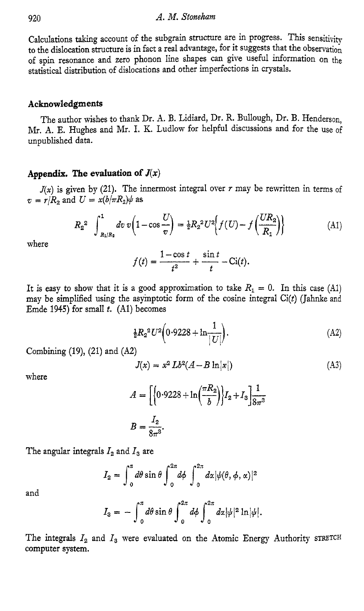CaIculations taking account of the subgrain structure are in progress. This sensitivity to the dislocation structure is in fact a real advantage, for it suggests that the observation of spin resonance and zero phonon line shapes can give useful information on the statistical distribution of dislocations and other imperfections in crystals.

#### **Acknowledgments**

The author wishes to thank Dr. A. B. Lidiard, Dr. R. BuUough, Dr. **B.** Henderson, *m.* A. E. Hughes and Mr. I. K. Ludlow for helpful discussions and for the use of unpublished data.

# Appendix. The evaluation of  $J(x)$

 $v = r/R_2$  and  $U = x(b/\pi R_2)\psi$  as  $J(x)$  is given by (21). The innermost integral over *r* may be rewritten in terms of

$$
R_2^2 \int_{R_1/R_2}^1 dv \, v \left( 1 - \cos \frac{U}{v} \right) = \frac{1}{2} R_2^2 U^2 \left\{ f(U) - f\left(\frac{UR_2}{R_1} \right) \right\}
$$
(A1)  

$$
f(t) = \frac{1 - \cos t}{t^2} + \frac{\sin t}{t} - \text{Ci}(t).
$$

where

$$
f(t) = \frac{1-\cos t}{t^2} + \frac{\sin t}{t} - \text{Ci}(t)
$$

It is easy to show that it is a good approximation to take  $R_1 = 0$ . In this case (Al) may be simplified using the asymptotic form of the cosine integral  $Ci(t)$  (Jahnke and Emde 1945) for small *t.* (Al) becomes

$$
\frac{1}{2}R_2^2U^2\bigg(0.9228 + \ln\frac{1}{|U|}\bigg). \tag{A2}
$$

Combining (19), (21) and *(A2)* 

$$
J(x) = x^2 Lb^2(A - B \ln|x|)
$$
 (A3)

where

$$
A = \left[ \left\{ 0.9228 + \ln\left(\frac{\pi R_2}{b}\right) \right\} I_2 + I_3 \right] \frac{1}{8\pi^3}
$$

$$
B = \frac{I_2}{8\pi^3}.
$$

The angular integrals  $I_2$  and  $I_3$  are

$$
I_2 = \int_0^{\pi} d\theta \sin \theta \int_0^{2\pi} d\phi \int_0^{2\pi} dx |\psi(\theta, \phi, \alpha)|^2
$$

and

$$
I_3 = -\int_0^{\pi} d\theta \sin \theta \int_0^{2\pi} d\phi \int_0^{2\pi} d\alpha |\psi|^2 \ln |\psi|.
$$

The integrals *I2* and *I3* were evaluated on the Atomic Energy Authority **STRETCH**  computer system.